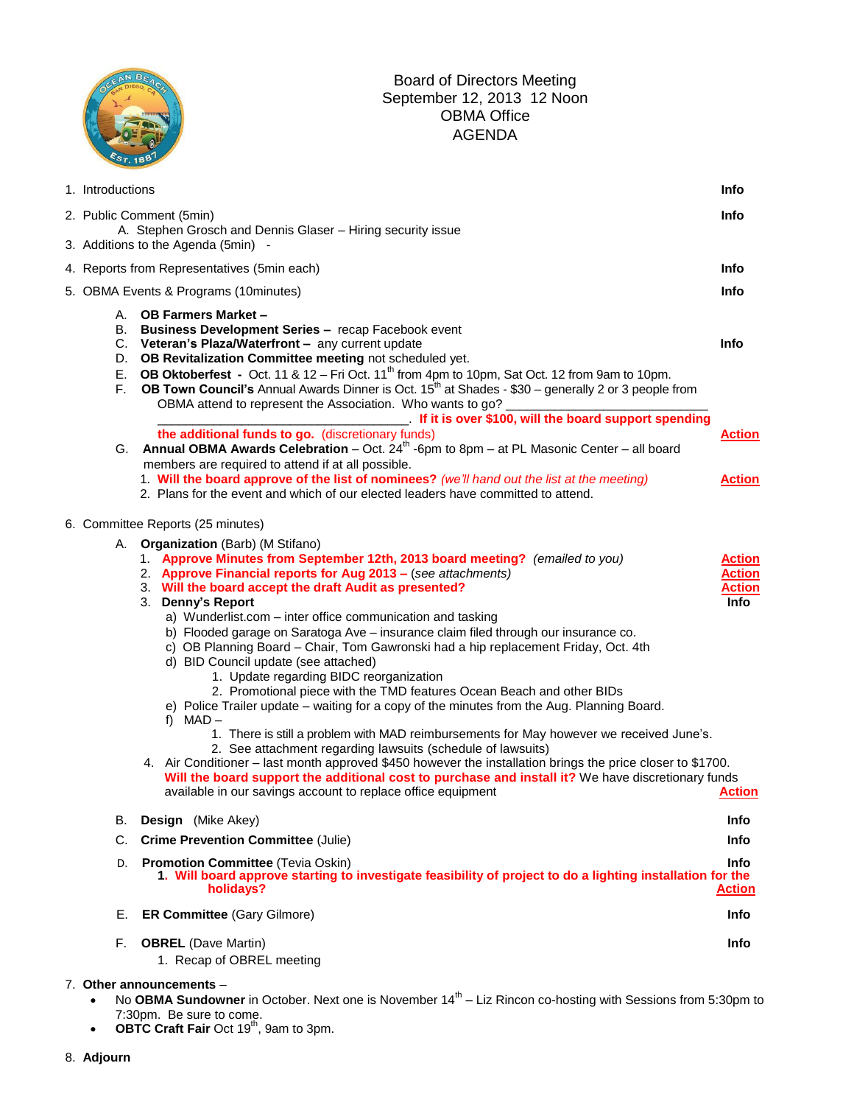|                                             | September 12, 2013 12 Noon<br><b>OBMA Office</b><br><b>AGENDA</b>                                                                                                                                                                                                                                                                                                                                                                                                                                                                                                                                                                                                                                                                                                                                                                                                                                                                                                                                                                                                                                                                                                                                                                |                                                                          |
|---------------------------------------------|----------------------------------------------------------------------------------------------------------------------------------------------------------------------------------------------------------------------------------------------------------------------------------------------------------------------------------------------------------------------------------------------------------------------------------------------------------------------------------------------------------------------------------------------------------------------------------------------------------------------------------------------------------------------------------------------------------------------------------------------------------------------------------------------------------------------------------------------------------------------------------------------------------------------------------------------------------------------------------------------------------------------------------------------------------------------------------------------------------------------------------------------------------------------------------------------------------------------------------|--------------------------------------------------------------------------|
| 1. Introductions                            |                                                                                                                                                                                                                                                                                                                                                                                                                                                                                                                                                                                                                                                                                                                                                                                                                                                                                                                                                                                                                                                                                                                                                                                                                                  | Info                                                                     |
|                                             | 2. Public Comment (5min)<br>A. Stephen Grosch and Dennis Glaser - Hiring security issue<br>3. Additions to the Agenda (5min) -                                                                                                                                                                                                                                                                                                                                                                                                                                                                                                                                                                                                                                                                                                                                                                                                                                                                                                                                                                                                                                                                                                   | Info                                                                     |
| 4. Reports from Representatives (5min each) |                                                                                                                                                                                                                                                                                                                                                                                                                                                                                                                                                                                                                                                                                                                                                                                                                                                                                                                                                                                                                                                                                                                                                                                                                                  |                                                                          |
| 5. OBMA Events & Programs (10minutes)       |                                                                                                                                                                                                                                                                                                                                                                                                                                                                                                                                                                                                                                                                                                                                                                                                                                                                                                                                                                                                                                                                                                                                                                                                                                  |                                                                          |
| F.                                          | A. OB Farmers Market -<br>B. Business Development Series - recap Facebook event<br>C. Veteran's Plaza/Waterfront - any current update<br>D. OB Revitalization Committee meeting not scheduled yet.<br>E. OB Oktoberfest - Oct. 11 & 12 - Fri Oct. 11 <sup>th</sup> from 4pm to 10pm, Sat Oct. 12 from 9am to 10pm.<br><b>OB Town Council's</b> Annual Awards Dinner is Oct. $15^{th}$ at Shades - \$30 – generally 2 or 3 people from<br>OBMA attend to represent the Association. Who wants to go?                                                                                                                                                                                                                                                                                                                                                                                                                                                                                                                                                                                                                                                                                                                              | Info                                                                     |
|                                             | If it is over \$100, will the board support spending<br>the additional funds to go. (discretionary funds)<br>G. Annual OBMA Awards Celebration – Oct. $24th$ -6pm to 8pm – at PL Masonic Center – all board<br>members are required to attend if at all possible.                                                                                                                                                                                                                                                                                                                                                                                                                                                                                                                                                                                                                                                                                                                                                                                                                                                                                                                                                                | <b>Action</b>                                                            |
|                                             | 1. Will the board approve of the list of nominees? (we'll hand out the list at the meeting)<br>2. Plans for the event and which of our elected leaders have committed to attend.                                                                                                                                                                                                                                                                                                                                                                                                                                                                                                                                                                                                                                                                                                                                                                                                                                                                                                                                                                                                                                                 | <b>Action</b>                                                            |
|                                             | 6. Committee Reports (25 minutes)                                                                                                                                                                                                                                                                                                                                                                                                                                                                                                                                                                                                                                                                                                                                                                                                                                                                                                                                                                                                                                                                                                                                                                                                |                                                                          |
|                                             | A. Organization (Barb) (M Stifano)<br>1. Approve Minutes from September 12th, 2013 board meeting? (emailed to you)<br>2. Approve Financial reports for Aug 2013 - (see attachments)<br>3. Will the board accept the draft Audit as presented?<br>3. Denny's Report<br>a) Wunderlist.com - inter office communication and tasking<br>b) Flooded garage on Saratoga Ave - insurance claim filed through our insurance co.<br>c) OB Planning Board - Chair, Tom Gawronski had a hip replacement Friday, Oct. 4th<br>d) BID Council update (see attached)<br>1. Update regarding BIDC reorganization<br>2. Promotional piece with the TMD features Ocean Beach and other BIDs<br>e) Police Trailer update – waiting for a copy of the minutes from the Aug. Planning Board.<br>t) MAD-<br>1. There is still a problem with MAD reimbursements for May however we received June's.<br>2. See attachment regarding lawsuits (schedule of lawsuits)<br>4. Air Conditioner – last month approved \$450 however the installation brings the price closer to \$1700.<br>Will the board support the additional cost to purchase and install it? We have discretionary funds<br>available in our savings account to replace office equipment | <b>Action</b><br><b>Action</b><br><b>Action</b><br>Info<br><b>Action</b> |
| В.                                          | <b>Design</b> (Mike Akey)                                                                                                                                                                                                                                                                                                                                                                                                                                                                                                                                                                                                                                                                                                                                                                                                                                                                                                                                                                                                                                                                                                                                                                                                        | Info                                                                     |
| C.                                          | <b>Crime Prevention Committee (Julie)</b>                                                                                                                                                                                                                                                                                                                                                                                                                                                                                                                                                                                                                                                                                                                                                                                                                                                                                                                                                                                                                                                                                                                                                                                        | Info                                                                     |
| D.                                          | <b>Promotion Committee (Tevia Oskin)</b><br>1. Will board approve starting to investigate feasibility of project to do a lighting installation for the<br>holidays?                                                                                                                                                                                                                                                                                                                                                                                                                                                                                                                                                                                                                                                                                                                                                                                                                                                                                                                                                                                                                                                              | Info<br><b>Action</b>                                                    |
| Ε.                                          | <b>ER Committee (Gary Gilmore)</b>                                                                                                                                                                                                                                                                                                                                                                                                                                                                                                                                                                                                                                                                                                                                                                                                                                                                                                                                                                                                                                                                                                                                                                                               | Info                                                                     |
| F.                                          | <b>OBREL</b> (Dave Martin)<br>1. Recap of OBREL meeting                                                                                                                                                                                                                                                                                                                                                                                                                                                                                                                                                                                                                                                                                                                                                                                                                                                                                                                                                                                                                                                                                                                                                                          | Info                                                                     |

Board of Directors Meeting

## 7. **Other announcements** –

CEAN BEAC

- No OBMA Sundowner in October. Next one is November 14<sup>th</sup> Liz Rincon co-hosting with Sessions from 5:30pm to 7:30pm. Be sure to come.<br>**• OBTC Craft Fair** Oct 19<sup>th</sup>, 9am to 3pm.
-